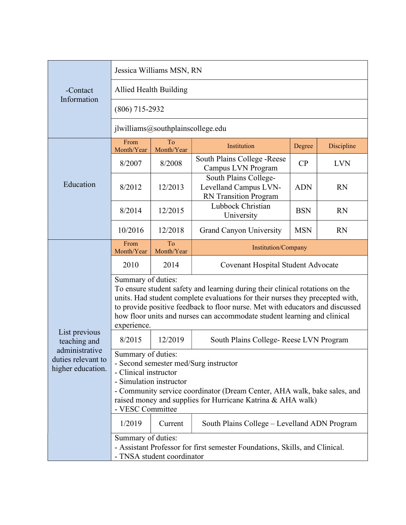| -Contact<br>Information                                   | Jessica Williams MSN, RN                                                                                                                                                                                                                                                                                                                                        |                  |                                                                         |            |            |  |
|-----------------------------------------------------------|-----------------------------------------------------------------------------------------------------------------------------------------------------------------------------------------------------------------------------------------------------------------------------------------------------------------------------------------------------------------|------------------|-------------------------------------------------------------------------|------------|------------|--|
|                                                           | Allied Health Building                                                                                                                                                                                                                                                                                                                                          |                  |                                                                         |            |            |  |
|                                                           | $(806)$ 715-2932                                                                                                                                                                                                                                                                                                                                                |                  |                                                                         |            |            |  |
|                                                           | jlwilliams@southplainscollege.edu                                                                                                                                                                                                                                                                                                                               |                  |                                                                         |            |            |  |
| Education                                                 | From<br>Month/Year                                                                                                                                                                                                                                                                                                                                              | To<br>Month/Year | Institution                                                             | Degree     | Discipline |  |
|                                                           | 8/2007                                                                                                                                                                                                                                                                                                                                                          | 8/2008           | South Plains College - Reese<br>Campus LVN Program                      | CP         | <b>LVN</b> |  |
|                                                           | 8/2012                                                                                                                                                                                                                                                                                                                                                          | 12/2013          | South Plains College-<br>Levelland Campus LVN-<br>RN Transition Program | <b>ADN</b> | <b>RN</b>  |  |
|                                                           | 8/2014                                                                                                                                                                                                                                                                                                                                                          | 12/2015          | Lubbock Christian<br>University                                         | <b>BSN</b> | <b>RN</b>  |  |
|                                                           | 10/2016                                                                                                                                                                                                                                                                                                                                                         | 12/2018          | <b>Grand Canyon University</b>                                          | <b>MSN</b> | <b>RN</b>  |  |
|                                                           | From<br>Month/Year                                                                                                                                                                                                                                                                                                                                              | To<br>Month/Year | Institution/Company                                                     |            |            |  |
|                                                           | 2010                                                                                                                                                                                                                                                                                                                                                            | 2014             | Covenant Hospital Student Advocate                                      |            |            |  |
|                                                           | Summary of duties:<br>To ensure student safety and learning during their clinical rotations on the<br>units. Had student complete evaluations for their nurses they precepted with,<br>to provide positive feedback to floor nurse. Met with educators and discussed<br>how floor units and nurses can accommodate student learning and clinical<br>experience. |                  |                                                                         |            |            |  |
| List previous<br>teaching and                             | 8/2015                                                                                                                                                                                                                                                                                                                                                          | 12/2019          | South Plains College- Reese LVN Program                                 |            |            |  |
| administrative<br>duties relevant to<br>higher education. | Summary of duties:<br>- Second semester med/Surg instructor<br>- Clinical instructor<br>- Simulation instructor<br>- Community service coordinator (Dream Center, AHA walk, bake sales, and<br>raised money and supplies for Hurricane Katrina & AHA walk)<br>- VESC Committee                                                                                  |                  |                                                                         |            |            |  |
|                                                           | 1/2019                                                                                                                                                                                                                                                                                                                                                          | Current          | South Plains College – Levelland ADN Program                            |            |            |  |
|                                                           | Summary of duties:<br>- Assistant Professor for first semester Foundations, Skills, and Clinical.<br>- TNSA student coordinator                                                                                                                                                                                                                                 |                  |                                                                         |            |            |  |